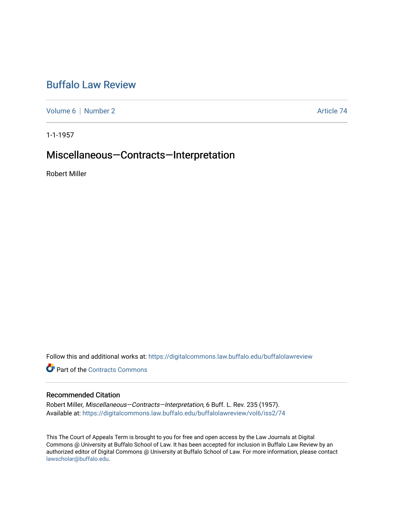# [Buffalo Law Review](https://digitalcommons.law.buffalo.edu/buffalolawreview)

[Volume 6](https://digitalcommons.law.buffalo.edu/buffalolawreview/vol6) | [Number 2](https://digitalcommons.law.buffalo.edu/buffalolawreview/vol6/iss2) Article 74

1-1-1957

## Miscellaneous—Contracts—Interpretation

Robert Miller

Follow this and additional works at: [https://digitalcommons.law.buffalo.edu/buffalolawreview](https://digitalcommons.law.buffalo.edu/buffalolawreview?utm_source=digitalcommons.law.buffalo.edu%2Fbuffalolawreview%2Fvol6%2Fiss2%2F74&utm_medium=PDF&utm_campaign=PDFCoverPages) 

**P** Part of the [Contracts Commons](http://network.bepress.com/hgg/discipline/591?utm_source=digitalcommons.law.buffalo.edu%2Fbuffalolawreview%2Fvol6%2Fiss2%2F74&utm_medium=PDF&utm_campaign=PDFCoverPages)

## Recommended Citation

Robert Miller, Miscellaneous-Contracts-Interpretation, 6 Buff. L. Rev. 235 (1957). Available at: [https://digitalcommons.law.buffalo.edu/buffalolawreview/vol6/iss2/74](https://digitalcommons.law.buffalo.edu/buffalolawreview/vol6/iss2/74?utm_source=digitalcommons.law.buffalo.edu%2Fbuffalolawreview%2Fvol6%2Fiss2%2F74&utm_medium=PDF&utm_campaign=PDFCoverPages) 

This The Court of Appeals Term is brought to you for free and open access by the Law Journals at Digital Commons @ University at Buffalo School of Law. It has been accepted for inclusion in Buffalo Law Review by an authorized editor of Digital Commons @ University at Buffalo School of Law. For more information, please contact [lawscholar@buffalo.edu](mailto:lawscholar@buffalo.edu).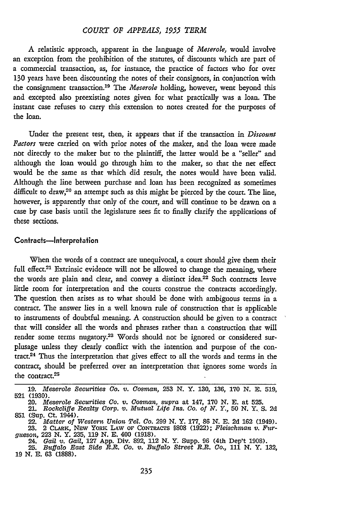#### *COURT OF APPEALS, 1955 TERM*

A relatistic approach, apparent in the language of *Meserole,* would involve **an** exception from the prohibition of the statutes, of discounts which are part of a commercial transaction, as, for instance, the practice of factors who for over **130** years have been discounting the notes of their consignors, in conjunction with the consignment transaction. 19 The *Meserole* holding, however, went beyond this and excepted also preexisting notes given for what practically was a loan. The instant case refuses to carry this extension to notes created for the purposes of the loan.

Under the present test, then, it appears that if the transaction in *Discount Factors* were carried on with prior notes of the maker, and the loan were made **not** directly to the maker but to the plaintiff, the latter would be a "seller" and although the loan would go through him to the maker, so that the net effect would be the same as that which did result, the notes would have been valid. Although the line between purchase and loan has been recognized as sometimes difficult to draw,<sup>20</sup> an attempt such as this might be pierced by the court. The line, however, is apparently that only of the court, and will continue to be drawn on a case by case basis until the legislature sees fit to finally clarify the applications of these sections.

#### Contracts-Interpretation

When the words of a contract are unequivocal, a court should give them their full effect.<sup>21</sup> Extrinsic evidence will not be allowed to change the meaning, where the words are plain and clear, and convey a distinct idea.<sup>22</sup> Such contracts leave little room for interpretation and the courts construe the contracts accordingly. The question then arises as to what should be done with ambiguous terms in a contract. The answer lies in a well known rule of construction that is applicable to instruments of doubtful meaning. A construction should be given to a contract that will consider all the words and phrases rather than a construction that will render some terms nugatory.<sup>23</sup> Words should not be ignored or considered surplusage unless they clearly conflict with the intention and purpose of the contract.<sup>24</sup> Thus the interpretation that gives effect to all the words and terms in the contract, should be preferred over an interpretation that ignores some words in the contract.<sup>25</sup>

24. Gail v. Gail, 127 App. Div. 892, 112 N. Y. Supp. 96 (4th Dep't 1908).<br>25. Buffalo East Side R.R. Co. v. Buffalo Street R.R. Co., 111 N. Y. 132.

**<sup>19.</sup>** *Meserole Securities Co. v. Cosman,* 253 **N.** Y. **130,** 136, **170 N. E.** 519, 521 (1930).

<sup>20.</sup> *Meserole Securities Co. v. Cosman, supra* at 147, 170 N. E. at 525. 21. *Rockcliffe Realty Corp. v. Mutual Life Ins. Co. of Y. Y.,* **50** N. Y. S. 2d

<sup>851 (</sup>Sup. Ct. 1944).<br>
22. Matter of Western Union Tel. Co. 299 N.Y. 177, 86 N.E. 2d 162 (1949).<br>
23. 2 CLARK, NEW YORK LAW OF CONTRACTS §808 (1922); Fleischman v. Fur-<br>
gueson, 223 N.Y. 235, 119 N.E. 400 (1918).

**<sup>19</sup> N. E. 63 (1888).**